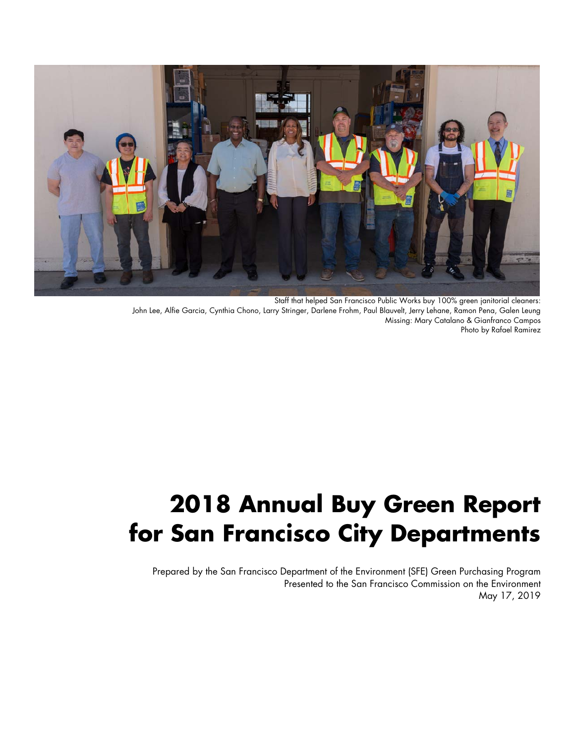

Staff that helped San Francisco Public Works buy 100% green janitorial cleaners: John Lee, Alfie Garcia, Cynthia Chono, Larry Stringer, Darlene Frohm, Paul Blauvelt, Jerry Lehane, Ramon Pena, Galen Leung Missing: Mary Catalano & Gianfranco Campos Photo by Rafael Ramirez

# **2018 Annual Buy Green Report for San Francisco City Departments**

Prepared by the San Francisco Department of the Environment (SFE) Green Purchasing Program Presented to the San Francisco Commission on the Environment May 17, 2019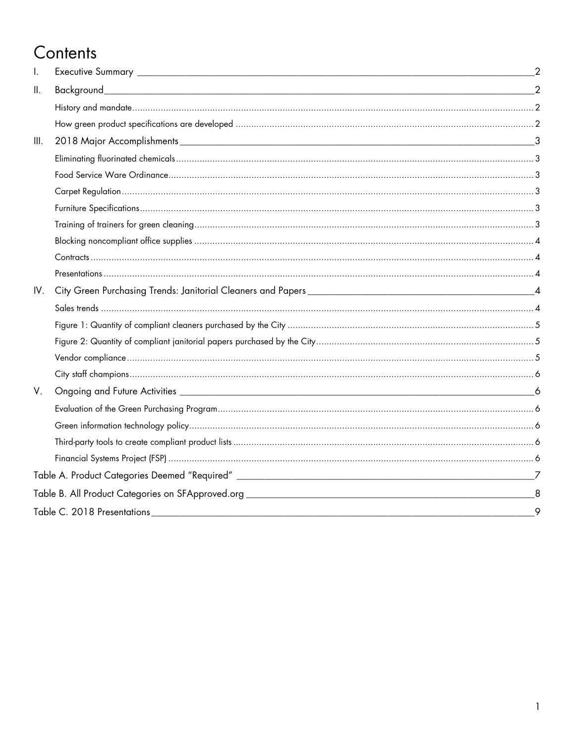# Contents

| $\mathbf{II}$ .<br>III.<br>V.<br>8<br>9 | Ι.  |  |  |
|-----------------------------------------|-----|--|--|
|                                         |     |  |  |
|                                         |     |  |  |
|                                         |     |  |  |
|                                         |     |  |  |
|                                         |     |  |  |
|                                         |     |  |  |
|                                         |     |  |  |
|                                         |     |  |  |
|                                         |     |  |  |
|                                         |     |  |  |
|                                         |     |  |  |
|                                         |     |  |  |
|                                         | IV. |  |  |
|                                         |     |  |  |
|                                         |     |  |  |
|                                         |     |  |  |
|                                         |     |  |  |
|                                         |     |  |  |
|                                         |     |  |  |
|                                         |     |  |  |
|                                         |     |  |  |
|                                         |     |  |  |
|                                         |     |  |  |
|                                         |     |  |  |
|                                         |     |  |  |
|                                         |     |  |  |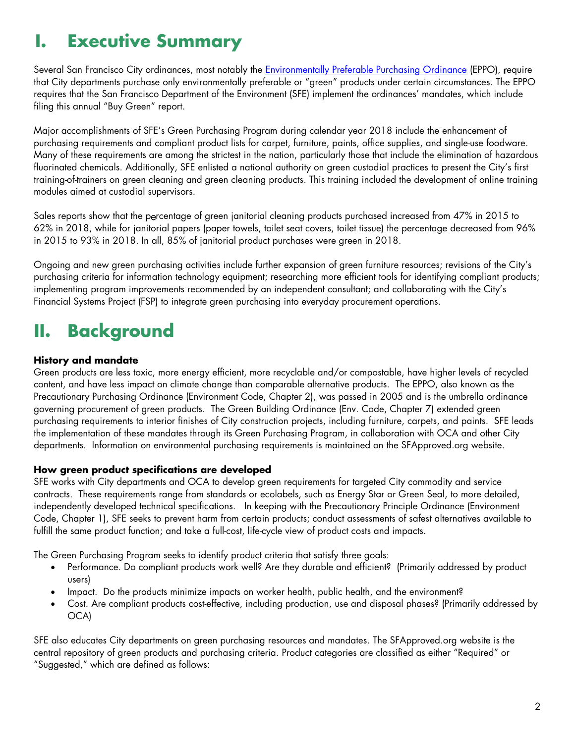# **I. Executive Summary**

Several San Francisco City ordinances, most notably the *Environmentally Preferable Purchasing Ordinance* (EPPO), require that City departments purchase only environmentally preferable or "green" products under certain circumstances. The EPPO requires that the San Francisco Department of the Environment (SFE) implement the ordinances' mandates, which include filing this annual "Buy Green" report.

Major accomplishments of SFE's Green Purchasing Program during calendar year 2018 include the enhancement of purchasing requirements and compliant product lists for carpet, furniture, paints, office supplies, and single-use foodware. Many of these requirements are among the strictest in the nation, particularly those that include the elimination of hazardous fluorinated chemicals. Additionally, SFE enlisted a national authority on green custodial practices to present the City's first training-of-trainers on green cleaning and green cleaning products. This training included the development of online training modules aimed at custodial supervisors.

Sales reports show that the percentage of green janitorial cleaning products purchased increased from 47% in 2015 to 62% in 2018, while for janitorial papers (paper towels, toilet seat covers, toilet tissue) the percentage decreased from 96% in 2015 to 93% in 2018. In all, 85% of janitorial product purchases were green in 2018.

Ongoing and new green purchasing activities include further expansion of green furniture resources; revisions of the City's purchasing criteria for information technology equipment; researching more efficient tools for identifying compliant products; implementing program improvements recommended by an independent consultant; and collaborating with the City's Financial Systems Project (FSP) to integrate green purchasing into everyday procurement operations.

# **II. Background**

# **History and mandate**

Green products are less toxic, more energy efficient, more recyclable and/or compostable, have higher levels of recycled content, and have less impact on climate change than comparable alternative products. The EPPO, also known as the Precautionary Purchasing Ordinance (Environment Code, Chapter 2), was passed in 2005 and is the umbrella ordinance governing procurement of green products. The Green Building Ordinance (Env. Code, Chapter 7) extended green purchasing requirements to interior finishes of City construction projects, including furniture, carpets, and paints. SFE leads the implementation of these mandates through its Green Purchasing Program, in collaboration with OCA and other City departments. Information on environmental purchasing requirements is maintained on the SFApproved.org website.

# **How green product specifications are developed**

SFE works with City departments and OCA to develop green requirements for targeted City commodity and service contracts. These requirements range from standards or ecolabels, such as Energy Star or Green Seal, to more detailed, independently developed technical specifications. In keeping with the Precautionary Principle Ordinance (Environment Code, Chapter 1), SFE seeks to prevent harm from certain products; conduct assessments of safest alternatives available to fulfill the same product function; and take a full-cost, life-cycle view of product costs and impacts.

The Green Purchasing Program seeks to identify product criteria that satisfy three goals:

- Performance. Do compliant products work well? Are they durable and efficient? (Primarily addressed by product users)
- Impact. Do the products minimize impacts on worker health, public health, and the environment?
- Cost. Are compliant products cost-effective, including production, use and disposal phases? (Primarily addressed by OCA)

SFE also educates City departments on green purchasing resources and mandates. The SFApproved.org website is the central repository of green products and purchasing criteria. Product categories are classified as either "Required" or "Suggested," which are defined as follows: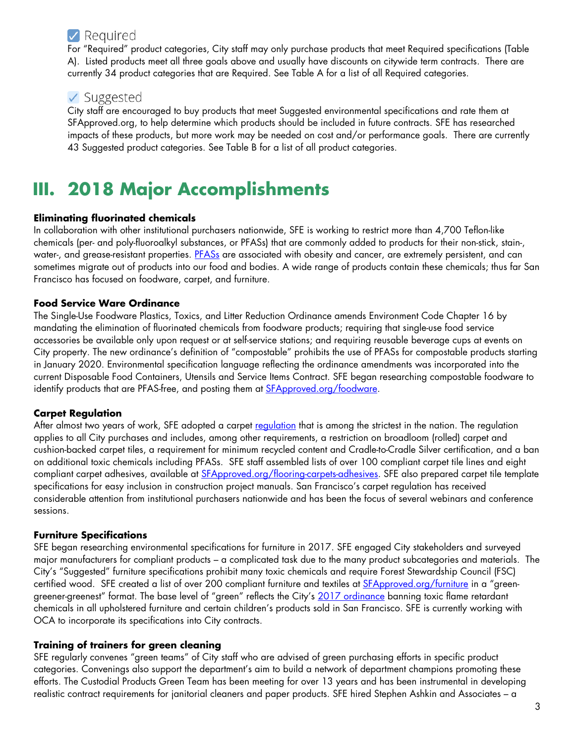# $\vee$  Required

For "Required" product categories, City staff may only purchase products that meet Required specifications (Table A). Listed products meet all three goals above and usually have discounts on citywide term contracts. There are currently 34 product categories that are Required. See Table A for a list of all Required categories.

# $\vee$  Suggested

City staff are encouraged to buy products that meet Suggested environmental specifications and rate them at SFApproved.org, to help determine which products should be included in future contracts. SFE has researched impacts of these products, but more work may be needed on cost and/or performance goals. There are currently 43 Suggested product categories. See Table B for a list of all product categories.

# **III. 2018 Major Accomplishments**

# **Eliminating fluorinated chemicals**

In collaboration with other institutional purchasers nationwide, SFE is working to restrict more than 4,700 Teflon-like chemicals (per- and poly-fluoroalkyl substances, or PFASs) that are commonly added to products for their non-stick, stain-, water-, and grease-resistant properties. PFASs are associated with obesity and cancer, are extremely persistent, and can sometimes migrate out of products into our food and bodies. A wide range of products contain these chemicals; thus far San Francisco has focused on foodware, carpet, and furniture.

# **Food Service Ware Ordinance**

The Single-Use Foodware Plastics, Toxics, and Litter Reduction Ordinance amends Environment Code Chapter 16 by mandating the elimination of fluorinated chemicals from foodware products; requiring that single-use food service accessories be available only upon request or at self-service stations; and requiring reusable beverage cups at events on City property. The new ordinance's definition of "compostable" prohibits the use of PFASs for compostable products starting in January 2020. Environmental specification language reflecting the ordinance amendments was incorporated into the current Disposable Food Containers, Utensils and Service Items Contract. SFE began researching compostable foodware to identify products that are PFAS-free, and posting them at SFApproved.org/foodware.

# **Carpet Regulation**

After almost two years of work, SFE adopted a carpet requidion that is among the strictest in the nation. The regulation applies to all City purchases and includes, among other requirements, a restriction on broadloom (rolled) carpet and cushion-backed carpet tiles, a requirement for minimum recycled content and Cradle-to-Cradle Silver certification, and a ban on additional toxic chemicals including PFASs. SFE staff assembled lists of over 100 compliant carpet tile lines and eight compliant carpet adhesives, available at SFApproved.org/flooring-carpets-adhesives. SFE also prepared carpet tile template specifications for easy inclusion in construction project manuals. San Francisco's carpet regulation has received considerable attention from institutional purchasers nationwide and has been the focus of several webinars and conference sessions.

# **Furniture Specifications**

SFE began researching environmental specifications for furniture in 2017. SFE engaged City stakeholders and surveyed major manufacturers for compliant products – a complicated task due to the many product subcategories and materials. The City's "Suggested" furniture specifications prohibit many toxic chemicals and require Forest Stewardship Council (FSC) certified wood. SFE created a list of over 200 compliant furniture and textiles at **SFApproved.org/furniture** in a "greengreener-greenest" format. The base level of "green" reflects the City's 2017 ordinance banning toxic flame retardant chemicals in all upholstered furniture and certain children's products sold in San Francisco. SFE is currently working with OCA to incorporate its specifications into City contracts.

# **Training of trainers for green cleaning**

SFE regularly convenes "green teams" of City staff who are advised of green purchasing efforts in specific product categories. Convenings also support the department's aim to build a network of department champions promoting these efforts. The Custodial Products Green Team has been meeting for over 13 years and has been instrumental in developing realistic contract requirements for janitorial cleaners and paper products. SFE hired Stephen Ashkin and Associates – a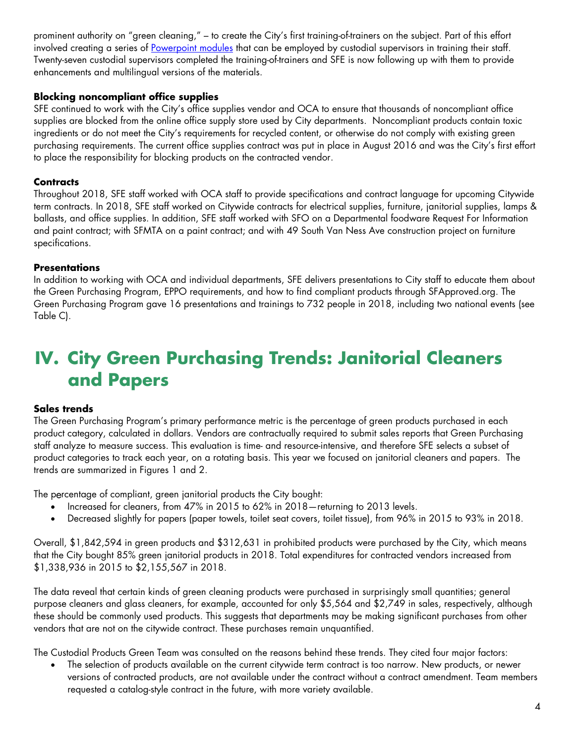prominent authority on "green cleaning," – to create the City's first training-of-trainers on the subject. Part of this effort involved creating a series of Powerpoint modules that can be employed by custodial supervisors in training their staff. Twenty-seven custodial supervisors completed the training-of-trainers and SFE is now following up with them to provide enhancements and multilingual versions of the materials.

# **Blocking noncompliant office supplies**

SFE continued to work with the City's office supplies vendor and OCA to ensure that thousands of noncompliant office supplies are blocked from the online office supply store used by City departments. Noncompliant products contain toxic ingredients or do not meet the City's requirements for recycled content, or otherwise do not comply with existing green purchasing requirements. The current office supplies contract was put in place in August 2016 and was the City's first effort to place the responsibility for blocking products on the contracted vendor.

# **Contracts**

Throughout 2018, SFE staff worked with OCA staff to provide specifications and contract language for upcoming Citywide term contracts. In 2018, SFE staff worked on Citywide contracts for electrical supplies, furniture, janitorial supplies, lamps & ballasts, and office supplies. In addition, SFE staff worked with SFO on a Departmental foodware Request For Information and paint contract; with SFMTA on a paint contract; and with 49 South Van Ness Ave construction project on furniture specifications.

# **Presentations**

In addition to working with OCA and individual departments, SFE delivers presentations to City staff to educate them about the Green Purchasing Program, EPPO requirements, and how to find compliant products through SFApproved.org. The Green Purchasing Program gave 16 presentations and trainings to 732 people in 2018, including two national events (see Table C).

# **IV. City Green Purchasing Trends: Janitorial Cleaners and Papers**

# **Sales trends**

The Green Purchasing Program's primary performance metric is the percentage of green products purchased in each product category, calculated in dollars. Vendors are contractually required to submit sales reports that Green Purchasing staff analyze to measure success. This evaluation is time- and resource-intensive, and therefore SFE selects a subset of product categories to track each year, on a rotating basis. This year we focused on janitorial cleaners and papers. The trends are summarized in Figures 1 and 2.

The percentage of compliant, green janitorial products the City bought:

- Increased for cleaners, from 47% in 2015 to 62% in 2018—returning to 2013 levels.
- Decreased slightly for papers (paper towels, toilet seat covers, toilet tissue), from 96% in 2015 to 93% in 2018.

Overall, \$1,842,594 in green products and \$312,631 in prohibited products were purchased by the City, which means that the City bought 85% green janitorial products in 2018. Total expenditures for contracted vendors increased from \$1,338,936 in 2015 to \$2,155,567 in 2018.

The data reveal that certain kinds of green cleaning products were purchased in surprisingly small quantities; general purpose cleaners and glass cleaners, for example, accounted for only \$5,564 and \$2,749 in sales, respectively, although these should be commonly used products. This suggests that departments may be making significant purchases from other vendors that are not on the citywide contract. These purchases remain unquantified.

The Custodial Products Green Team was consulted on the reasons behind these trends. They cited four major factors:

 The selection of products available on the current citywide term contract is too narrow. New products, or newer versions of contracted products, are not available under the contract without a contract amendment. Team members requested a catalog-style contract in the future, with more variety available.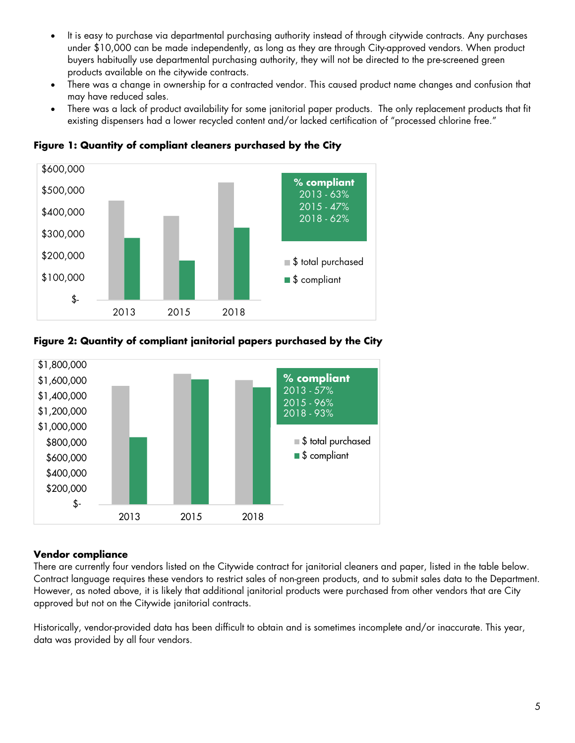- It is easy to purchase via departmental purchasing authority instead of through citywide contracts. Any purchases under \$10,000 can be made independently, as long as they are through City-approved vendors. When product buyers habitually use departmental purchasing authority, they will not be directed to the pre-screened green products available on the citywide contracts.
- There was a change in ownership for a contracted vendor. This caused product name changes and confusion that may have reduced sales.
- There was a lack of product availability for some janitorial paper products. The only replacement products that fit existing dispensers had a lower recycled content and/or lacked certification of "processed chlorine free."



**Figure 1: Quantity of compliant cleaners purchased by the City** 

# **Figure 2: Quantity of compliant janitorial papers purchased by the City**



# **Vendor compliance**

There are currently four vendors listed on the Citywide contract for janitorial cleaners and paper, listed in the table below. Contract language requires these vendors to restrict sales of non-green products, and to submit sales data to the Department. However, as noted above, it is likely that additional janitorial products were purchased from other vendors that are City approved but not on the Citywide janitorial contracts.

Historically, vendor-provided data has been difficult to obtain and is sometimes incomplete and/or inaccurate. This year, data was provided by all four vendors.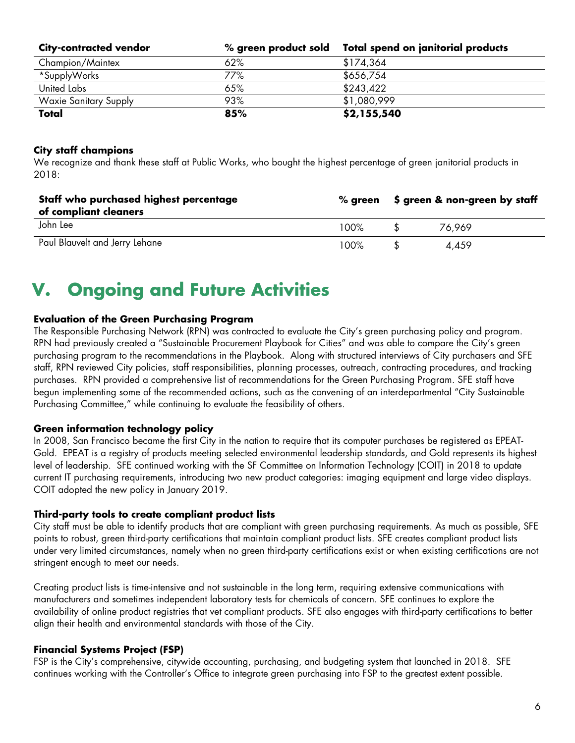| <b>City-contracted vendor</b> | $\%$ green product sold | Total spend on janitorial products |
|-------------------------------|-------------------------|------------------------------------|
| Champion/Maintex              | 62%                     | \$174,364                          |
| *SupplyWorks                  | 77%                     | \$656,754                          |
| United Labs                   | 65%                     | \$243,422                          |
| <b>Waxie Sanitary Supply</b>  | 93%                     | \$1,080,999                        |
| Total                         | 85%                     | \$2,155,540                        |

# **City staff champions**

We recognize and thank these staff at Public Works, who bought the highest percentage of green janitorial products in 2018:

| Staff who purchased highest percentage<br>of compliant cleaners | $%$ areen | \$ green & non-green by staff |        |
|-----------------------------------------------------------------|-----------|-------------------------------|--------|
| John Lee                                                        | 100%      |                               | 76.969 |
| Paul Blauvelt and Jerry Lehane                                  | 100%      |                               | 4.459  |

# **V. Ongoing and Future Activities**

# **Evaluation of the Green Purchasing Program**

The Responsible Purchasing Network (RPN) was contracted to evaluate the City's green purchasing policy and program. RPN had previously created a "Sustainable Procurement Playbook for Cities" and was able to compare the City's green purchasing program to the recommendations in the Playbook. Along with structured interviews of City purchasers and SFE staff, RPN reviewed City policies, staff responsibilities, planning processes, outreach, contracting procedures, and tracking purchases. RPN provided a comprehensive list of recommendations for the Green Purchasing Program. SFE staff have begun implementing some of the recommended actions, such as the convening of an interdepartmental "City Sustainable Purchasing Committee," while continuing to evaluate the feasibility of others.

# **Green information technology policy**

In 2008, San Francisco became the first City in the nation to require that its computer purchases be registered as EPEAT-Gold. EPEAT is a registry of products meeting selected environmental leadership standards, and Gold represents its highest level of leadership. SFE continued working with the SF Committee on Information Technology (COIT) in 2018 to update current IT purchasing requirements, introducing two new product categories: imaging equipment and large video displays. COIT adopted the new policy in January 2019.

# **Third-party tools to create compliant product lists**

City staff must be able to identify products that are compliant with green purchasing requirements. As much as possible, SFE points to robust, green third-party certifications that maintain compliant product lists. SFE creates compliant product lists under very limited circumstances, namely when no green third-party certifications exist or when existing certifications are not stringent enough to meet our needs.

Creating product lists is time-intensive and not sustainable in the long term, requiring extensive communications with manufacturers and sometimes independent laboratory tests for chemicals of concern. SFE continues to explore the availability of online product registries that vet compliant products. SFE also engages with third-party certifications to better align their health and environmental standards with those of the City.

# **Financial Systems Project (FSP)**

FSP is the City's comprehensive, citywide accounting, purchasing, and budgeting system that launched in 2018. SFE continues working with the Controller's Office to integrate green purchasing into FSP to the greatest extent possible.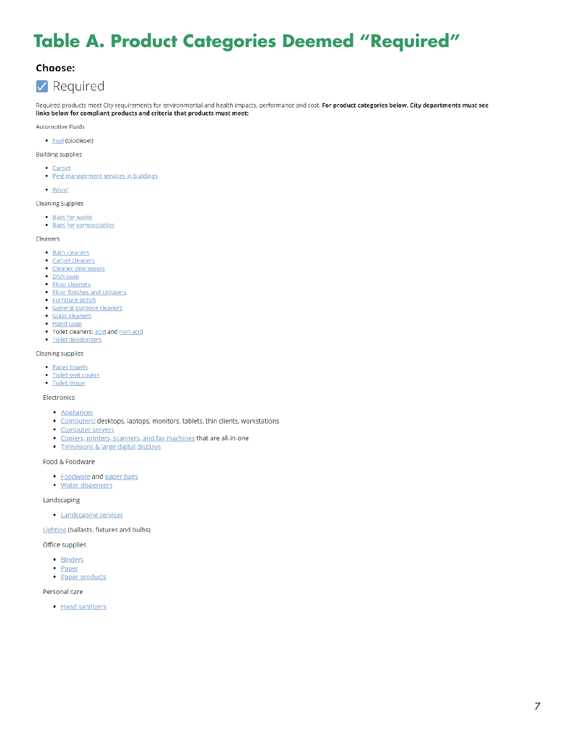# **Table A. Product Categories Deemed "Required"**

# **Choose:**

# $\vee$  Required

Required products meet City requirements for environmental and health impacts, performance and cost. For product categories below, City departments must see links below for compliant products and criteria that products must meet:

**Automotive Fluids** 

• **Fuel** (biodiesel)

### **Building supplies**

- Carpet
- · Pest management services in buildings
- Wood

### **Cleaning Supplies**

- Bags for waste
- · Bags for compostables

#### Cleaners

- Bath cleaners
- Carpet cleaners
- · Cleaner degreasers
- · Dish soap
- Floor cleaners
- Floor finishes and strippers · Furniture polish
- · General purpose cleaners
- Glass cleaners
- · Hand soap
- . Toilet cleaners: acid and non-acid
- · Toilet deodorizers

### **Cleaning supplies**

- Paper towels
- Toilet seat covers
- Toilet tissue

### Electronics

- · Appliances
- · Computers: desktops, laptops, monitors, tablets, thin clients, workstations
- Computer servers
- · Copiers, printers, scanners, and fax machines that are all-in-one
- · Televisions & large digital displays

### Food & Foodware

- Foodware and paper bags
- · Water dispensers

Landscaping

• Landscaping services

Lighting (ballasts, fixtures and bulbs)

#### Office supplies

- · Binders
- <u>Paper</u>
- · Paper products

#### Personal care

• Hand sanitizers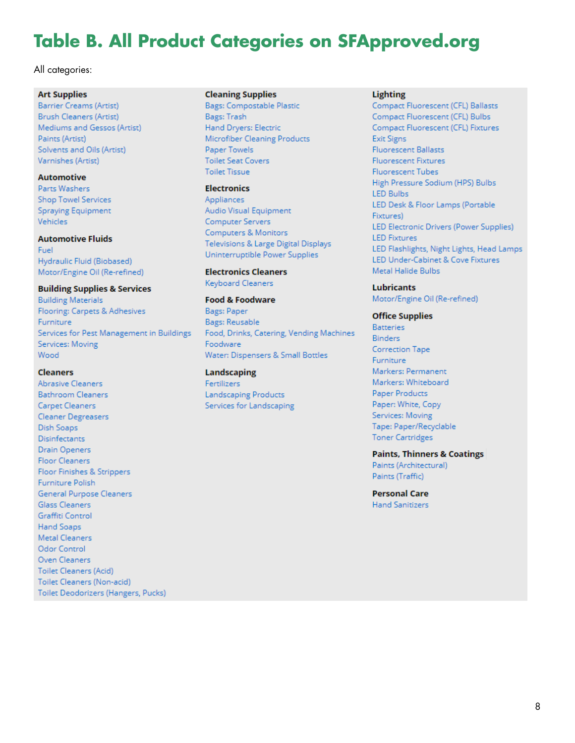# **Table B. All Product Categories on SFApproved.org**

### All categories:

### **Art Supplies**

Barrier Creams (Artist) **Brush Cleaners (Artist)** Mediums and Gessos (Artist) Paints (Artist) Solvents and Oils (Artist) Varnishes (Artist)

### **Automotive**

Parts Washers **Shop Towel Services** Spraying Equipment Vehicles

### **Automotive Fluids**

Fuel Hydraulic Fluid (Biobased) Motor/Engine Oil (Re-refined)

### **Building Supplies & Services**

**Building Materials** Flooring: Carpets & Adhesives Furniture Services for Pest Management in Buildings Services: Moving Wood

### **Cleaners**

**Abrasive Cleaners Bathroom Cleaners** Carpet Cleaners Cleaner Degreasers Dish Soaps **Disinfectants Drain Openers Floor Cleaners** Floor Finishes & Strippers Furniture Polish General Purpose Cleaners **Glass Cleaners** Graffiti Control Hand Soaps **Metal Cleaners** Odor Control Oven Cleaners **Toilet Cleaners (Acid)** Toilet Cleaners (Non-acid) Toilet Deodorizers (Hangers, Pucks)

### **Cleaning Supplies**

**Bags: Compostable Plastic** Bags: Trash Hand Dryers: Electric Microfiber Cleaning Products Paper Towels **Toilet Seat Covers Toilet Tissue** 

### **Electronics**

Appliances Audio Visual Equipment Computer Servers Computers & Monitors Televisions & Large Digital Displays Uninterruptible Power Supplies

**Electronics Cleaners Keyboard Cleaners** 

### **Food & Foodware**

Bags: Paper **Bags: Reusable** Food, Drinks, Catering, Vending Machines Foodware Water: Dispensers & Small Bottles

## Landscaping

Fertilizers **Landscaping Products** Services for Landscaping

### **Lighting**

Compact Fluorescent (CFL) Ballasts Compact Fluorescent (CFL) Bulbs Compact Fluorescent (CFL) Fixtures **Exit Signs Fluorescent Ballasts Fluorescent Fixtures** Fluorescent Tubes High Pressure Sodium (HPS) Bulbs **LED Bulbs** LED Desk & Floor Lamps (Portable Fixtures) LED Electronic Drivers (Power Supplies) **LED Fixtures** LED Flashlights, Night Lights, Head Lamps LED Under-Cabinet & Cove Fixtures Metal Halide Bulbs

### **Lubricants**

Motor/Engine Oil (Re-refined)

### **Office Supplies**

**Batteries Binders Correction Tape** Furniture Markers: Permanent Markers: Whiteboard Paper Products Paper: White, Copy Services: Moving Tape: Paper/Recyclable **Toner Cartridges** 

### **Paints, Thinners & Coatings** Paints (Architectural)

Paints (Traffic)

**Personal Care Hand Sanitizers**